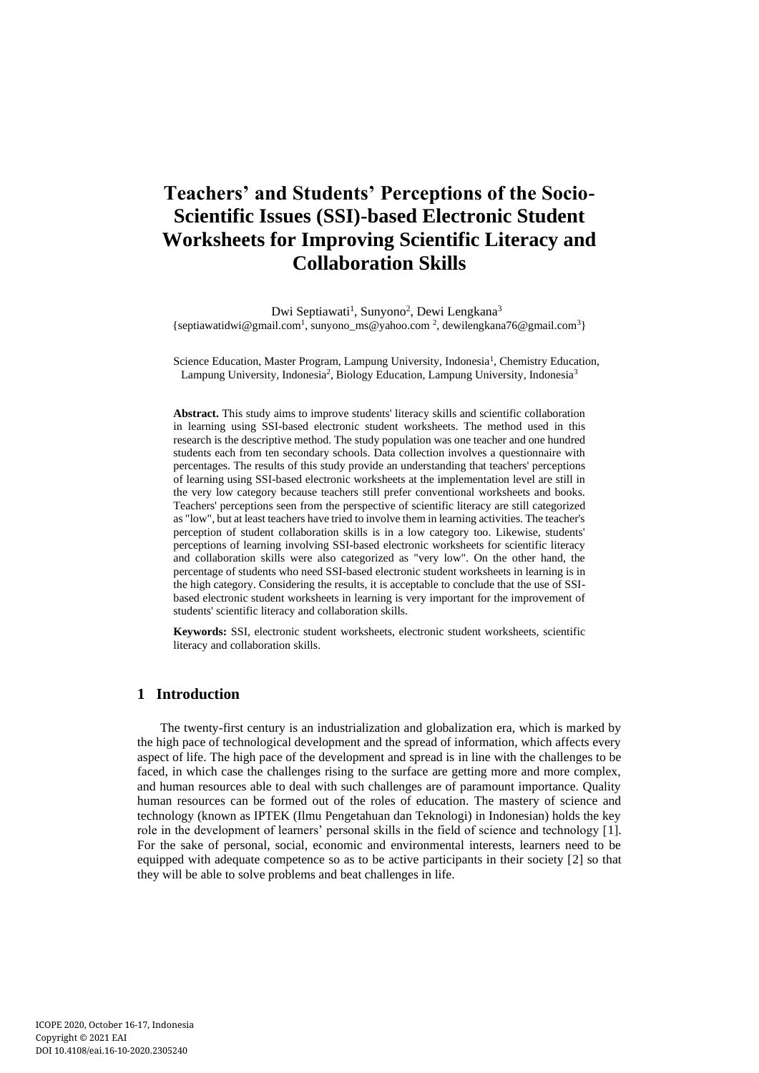# **Teachers' and Students' Perceptions of the Socio-Scientific Issues (SSI)-based Electronic Student Worksheets for Improving Scientific Literacy and Collaboration Skills**

Dwi Septiawati<sup>1</sup>, Sunyono<sup>2</sup>, Dewi Lengkana<sup>3</sup> {septiawatidwi@gmail.com<sup>1</sup>, sunyono\_ms@yahoo.com<sup>2</sup>, dewilengkana76@gmail.com<sup>3</sup>}

Science Education, Master Program, Lampung University, Indonesia<sup>1</sup>, Chemistry Education, Lampung University, Indonesia<sup>2</sup>, Biology Education, Lampung University, Indonesia<sup>3</sup>

**Abstract.** This study aims to improve students' literacy skills and scientific collaboration in learning using SSI-based electronic student worksheets. The method used in this research is the descriptive method. The study population was one teacher and one hundred students each from ten secondary schools. Data collection involves a questionnaire with percentages. The results of this study provide an understanding that teachers' perceptions of learning using SSI-based electronic worksheets at the implementation level are still in the very low category because teachers still prefer conventional worksheets and books. Teachers' perceptions seen from the perspective of scientific literacy are still categorized as "low", but at least teachers have tried to involve them in learning activities. The teacher's perception of student collaboration skills is in a low category too. Likewise, students' perceptions of learning involving SSI-based electronic worksheets for scientific literacy and collaboration skills were also categorized as "very low". On the other hand, the percentage of students who need SSI-based electronic student worksheets in learning is in the high category. Considering the results, it is acceptable to conclude that the use of SSIbased electronic student worksheets in learning is very important for the improvement of students' scientific literacy and collaboration skills.

**Keywords:** SSI, electronic student worksheets, electronic student worksheets, scientific literacy and collaboration skills.

## **1 Introduction**

The twenty-first century is an industrialization and globalization era, which is marked by the high pace of technological development and the spread of information, which affects every aspect of life. The high pace of the development and spread is in line with the challenges to be faced, in which case the challenges rising to the surface are getting more and more complex, and human resources able to deal with such challenges are of paramount importance. Quality human resources can be formed out of the roles of education. The mastery of science and technology (known as IPTEK (Ilmu Pengetahuan dan Teknologi) in Indonesian) holds the key role in the development of learners' personal skills in the field of science and technology [1]. For the sake of personal, social, economic and environmental interests, learners need to be equipped with adequate competence so as to be active participants in their society [2] so that they will be able to solve problems and beat challenges in life.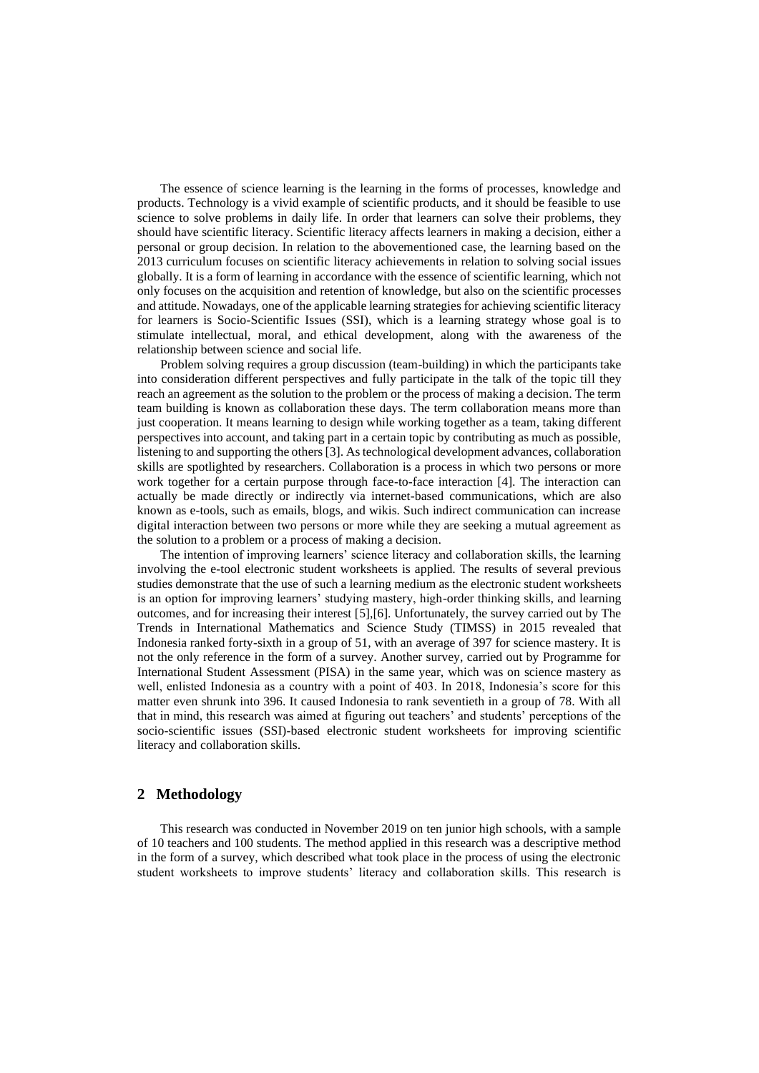The essence of science learning is the learning in the forms of processes, knowledge and products. Technology is a vivid example of scientific products, and it should be feasible to use science to solve problems in daily life. In order that learners can solve their problems, they should have scientific literacy. Scientific literacy affects learners in making a decision, either a personal or group decision. In relation to the abovementioned case, the learning based on the 2013 curriculum focuses on scientific literacy achievements in relation to solving social issues globally. It is a form of learning in accordance with the essence of scientific learning, which not only focuses on the acquisition and retention of knowledge, but also on the scientific processes and attitude. Nowadays, one of the applicable learning strategies for achieving scientific literacy for learners is Socio-Scientific Issues (SSI), which is a learning strategy whose goal is to stimulate intellectual, moral, and ethical development, along with the awareness of the relationship between science and social life.

Problem solving requires a group discussion (team-building) in which the participants take into consideration different perspectives and fully participate in the talk of the topic till they reach an agreement as the solution to the problem or the process of making a decision. The term team building is known as collaboration these days. The term collaboration means more than just cooperation. It means learning to design while working together as a team, taking different perspectives into account, and taking part in a certain topic by contributing as much as possible, listening to and supporting the others [3]. As technological development advances, collaboration skills are spotlighted by researchers. Collaboration is a process in which two persons or more work together for a certain purpose through face-to-face interaction [4]. The interaction can actually be made directly or indirectly via internet-based communications, which are also known as e-tools, such as emails, blogs, and wikis. Such indirect communication can increase digital interaction between two persons or more while they are seeking a mutual agreement as the solution to a problem or a process of making a decision.

The intention of improving learners' science literacy and collaboration skills, the learning involving the e-tool electronic student worksheets is applied. The results of several previous studies demonstrate that the use of such a learning medium as the electronic student worksheets is an option for improving learners' studying mastery, high-order thinking skills, and learning outcomes, and for increasing their interest [5],[6]. Unfortunately, the survey carried out by The Trends in International Mathematics and Science Study (TIMSS) in 2015 revealed that Indonesia ranked forty-sixth in a group of 51, with an average of 397 for science mastery. It is not the only reference in the form of a survey. Another survey, carried out by Programme for International Student Assessment (PISA) in the same year, which was on science mastery as well, enlisted Indonesia as a country with a point of 403. In 2018, Indonesia's score for this matter even shrunk into 396. It caused Indonesia to rank seventieth in a group of 78. With all that in mind, this research was aimed at figuring out teachers' and students' perceptions of the socio-scientific issues (SSI)-based electronic student worksheets for improving scientific literacy and collaboration skills.

### **2 Methodology**

This research was conducted in November 2019 on ten junior high schools, with a sample of 10 teachers and 100 students. The method applied in this research was a descriptive method in the form of a survey, which described what took place in the process of using the electronic student worksheets to improve students' literacy and collaboration skills. This research is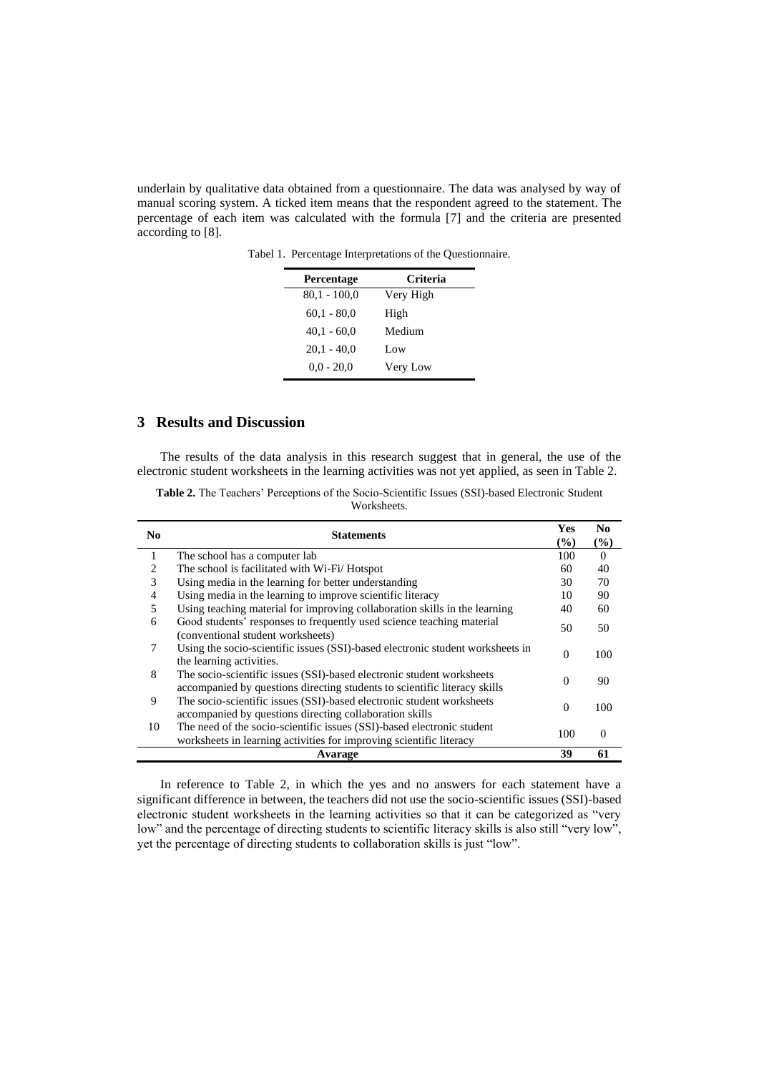underlain by qualitative data obtained from a questionnaire. The data was analysed by way of manual scoring system. A ticked item means that the respondent agreed to the statement. The percentage of each item was calculated with the formula [7] and the criteria are presented according to [8].

| Percentage     | Criteria  |
|----------------|-----------|
| $80.1 - 100.0$ | Very High |
| $60,1 - 80,0$  | High      |
| $40.1 - 60.0$  | Medium    |
| $20.1 - 40.0$  | Low       |
| $0.0 - 20.0$   | Very Low  |
|                |           |

Tabel 1. Percentage Interpretations of the Questionnaire.

## **3 Results and Discussion**

The results of the data analysis in this research suggest that in general, the use of the electronic student worksheets in the learning activities was not yet applied, as seen in Table 2.

**Table 2.** The Teachers' Perceptions of the Socio-Scientific Issues (SSI)-based Electronic Student Worksheets.

| N <sub>0</sub> | <b>Statements</b>                                                                                                                                  | Yes<br>$(\%)$ | N <sub>0</sub><br>(%) |
|----------------|----------------------------------------------------------------------------------------------------------------------------------------------------|---------------|-----------------------|
| 1              | The school has a computer lab                                                                                                                      |               |                       |
| 2              | The school is facilitated with Wi-Fi/Hotspot                                                                                                       | 60            | 40                    |
| 3              | Using media in the learning for better understanding                                                                                               | 30            | 70                    |
| 4              | Using media in the learning to improve scientific literacy                                                                                         | 10            | 90                    |
| 5              | Using teaching material for improving collaboration skills in the learning                                                                         | 40            | 60                    |
| 6              | Good students' responses to frequently used science teaching material<br>(conventional student worksheets)                                         |               |                       |
| 7              | Using the socio-scientific issues (SSI)-based electronic student worksheets in<br>the learning activities.                                         |               | 100                   |
| 8              | The socio-scientific issues (SSI)-based electronic student worksheets<br>accompanied by questions directing students to scientific literacy skills | $\Omega$      | 90                    |
| 9              | The socio-scientific issues (SSI)-based electronic student worksheets<br>accompanied by questions directing collaboration skills                   | $\theta$      | 100                   |
| 10             | The need of the socio-scientific issues (SSI)-based electronic student<br>worksheets in learning activities for improving scientific literacy      | 100           | $\Omega$              |
|                | Avarage                                                                                                                                            | 39            | 61                    |

In reference to Table 2, in which the yes and no answers for each statement have a significant difference in between, the teachers did not use the socio-scientific issues (SSI)-based electronic student worksheets in the learning activities so that it can be categorized as "very low" and the percentage of directing students to scientific literacy skills is also still "very low", yet the percentage of directing students to collaboration skills is just "low".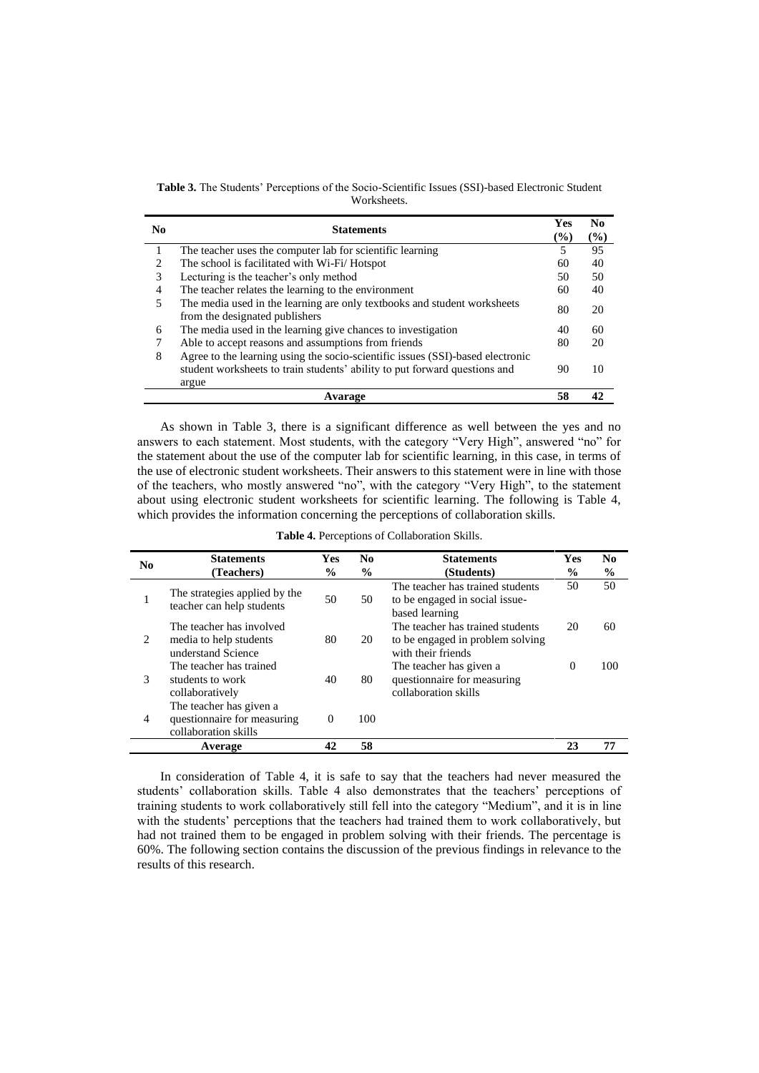**Table 3.** The Students' Perceptions of the Socio-Scientific Issues (SSI)-based Electronic Student Worksheets.

| N <sub>0</sub> | <b>Statements</b>                                                                                          |    |    |  |
|----------------|------------------------------------------------------------------------------------------------------------|----|----|--|
|                | The teacher uses the computer lab for scientific learning                                                  |    |    |  |
|                | The school is facilitated with Wi-Fi/Hotspot                                                               |    |    |  |
|                | Lecturing is the teacher's only method                                                                     | 50 | 50 |  |
| 4              | The teacher relates the learning to the environment                                                        | 60 | 40 |  |
|                | The media used in the learning are only textbooks and student worksheets<br>from the designated publishers | 80 | 20 |  |
| 6              | The media used in the learning give chances to investigation                                               |    |    |  |
|                | Able to accept reasons and assumptions from friends                                                        | 80 | 20 |  |
| 8              | Agree to the learning using the socio-scientific issues (SSI)-based electronic                             |    |    |  |
|                | student worksheets to train students' ability to put forward questions and                                 | 90 | 10 |  |
|                | argue                                                                                                      |    |    |  |
|                | Avarage                                                                                                    | 58 | 42 |  |

As shown in Table 3, there is a significant difference as well between the yes and no answers to each statement. Most students, with the category "Very High", answered "no" for the statement about the use of the computer lab for scientific learning, in this case, in terms of the use of electronic student worksheets. Their answers to this statement were in line with those of the teachers, who mostly answered "no", with the category "Very High", to the statement about using electronic student worksheets for scientific learning. The following is Table 4, which provides the information concerning the perceptions of collaboration skills.

| N <sub>0</sub> | <b>Statements</b>                                                              | <b>Yes</b>    | N <sub>0</sub> | <b>Statements</b>                                                                          | <b>Yes</b>    | N <sub>0</sub> |
|----------------|--------------------------------------------------------------------------------|---------------|----------------|--------------------------------------------------------------------------------------------|---------------|----------------|
|                | (Teachers)                                                                     | $\frac{6}{9}$ | $\frac{6}{9}$  | (Students)                                                                                 | $\frac{0}{0}$ | $\frac{6}{6}$  |
|                | The strategies applied by the<br>teacher can help students                     | 50            | 50             | The teacher has trained students<br>to be engaged in social issue-<br>based learning       | 50            | 50             |
| 2              | The teacher has involved<br>media to help students<br>understand Science       | 80            | 20             | The teacher has trained students<br>to be engaged in problem solving<br>with their friends | 20            | 60             |
| 3              | The teacher has trained<br>students to work<br>collaboratively                 | 40            | 80             | The teacher has given a<br>questionnaire for measuring<br>collaboration skills             | $\Omega$      | 100            |
| 4              | The teacher has given a<br>questionnaire for measuring<br>collaboration skills | $\Omega$      | 100            |                                                                                            |               |                |
|                | Average                                                                        | 42            | 58             |                                                                                            | 23            | 77             |

**Table 4.** Perceptions of Collaboration Skills.

In consideration of Table 4, it is safe to say that the teachers had never measured the students' collaboration skills. Table 4 also demonstrates that the teachers' perceptions of training students to work collaboratively still fell into the category "Medium", and it is in line with the students' perceptions that the teachers had trained them to work collaboratively, but had not trained them to be engaged in problem solving with their friends. The percentage is 60%. The following section contains the discussion of the previous findings in relevance to the results of this research.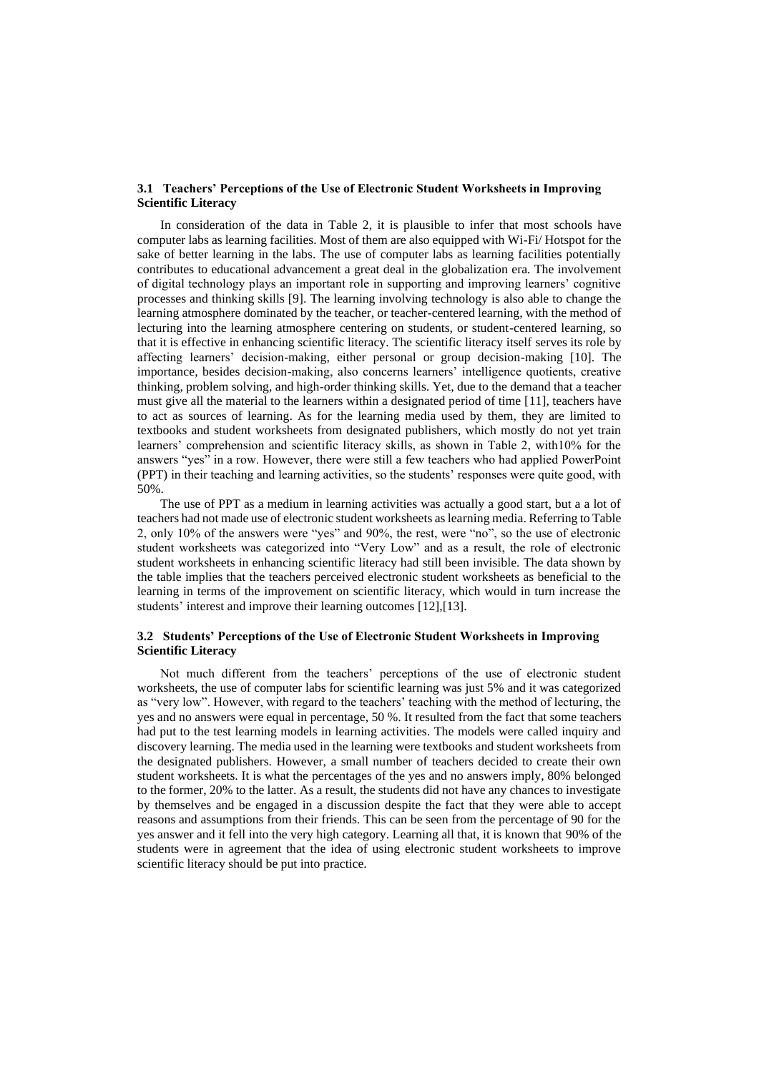#### **3.1 Teachers' Perceptions of the Use of Electronic Student Worksheets in Improving Scientific Literacy**

In consideration of the data in Table 2, it is plausible to infer that most schools have computer labs as learning facilities. Most of them are also equipped with Wi-Fi/ Hotspot for the sake of better learning in the labs. The use of computer labs as learning facilities potentially contributes to educational advancement a great deal in the globalization era. The involvement of digital technology plays an important role in supporting and improving learners' cognitive processes and thinking skills [9]. The learning involving technology is also able to change the learning atmosphere dominated by the teacher, or teacher-centered learning, with the method of lecturing into the learning atmosphere centering on students, or student-centered learning, so that it is effective in enhancing scientific literacy. The scientific literacy itself serves its role by affecting learners' decision-making, either personal or group decision-making [10]. The importance, besides decision-making, also concerns learners' intelligence quotients, creative thinking, problem solving, and high-order thinking skills. Yet, due to the demand that a teacher must give all the material to the learners within a designated period of time [11], teachers have to act as sources of learning. As for the learning media used by them, they are limited to textbooks and student worksheets from designated publishers, which mostly do not yet train learners' comprehension and scientific literacy skills, as shown in Table 2, with10% for the answers "yes" in a row. However, there were still a few teachers who had applied PowerPoint (PPT) in their teaching and learning activities, so the students' responses were quite good, with 50%.

The use of PPT as a medium in learning activities was actually a good start, but a a lot of teachers had not made use of electronic student worksheets as learning media. Referring to Table 2, only 10% of the answers were "yes" and 90%, the rest, were "no", so the use of electronic student worksheets was categorized into "Very Low" and as a result, the role of electronic student worksheets in enhancing scientific literacy had still been invisible. The data shown by the table implies that the teachers perceived electronic student worksheets as beneficial to the learning in terms of the improvement on scientific literacy, which would in turn increase the students' interest and improve their learning outcomes [12],[13].

#### **3.2 Students' Perceptions of the Use of Electronic Student Worksheets in Improving Scientific Literacy**

Not much different from the teachers' perceptions of the use of electronic student worksheets, the use of computer labs for scientific learning was just 5% and it was categorized as "very low". However, with regard to the teachers' teaching with the method of lecturing, the yes and no answers were equal in percentage, 50 %. It resulted from the fact that some teachers had put to the test learning models in learning activities. The models were called inquiry and discovery learning. The media used in the learning were textbooks and student worksheets from the designated publishers. However, a small number of teachers decided to create their own student worksheets. It is what the percentages of the yes and no answers imply, 80% belonged to the former, 20% to the latter. As a result, the students did not have any chances to investigate by themselves and be engaged in a discussion despite the fact that they were able to accept reasons and assumptions from their friends. This can be seen from the percentage of 90 for the yes answer and it fell into the very high category. Learning all that, it is known that 90% of the students were in agreement that the idea of using electronic student worksheets to improve scientific literacy should be put into practice.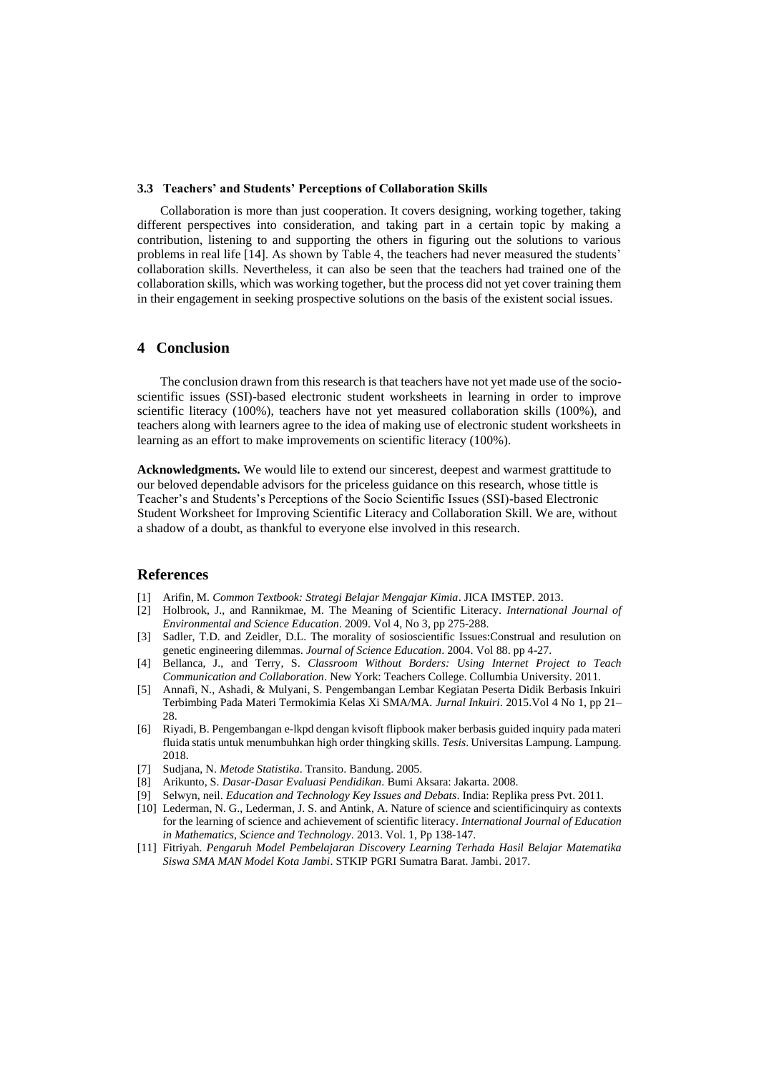#### **3.3 Teachers' and Students' Perceptions of Collaboration Skills**

Collaboration is more than just cooperation. It covers designing, working together, taking different perspectives into consideration, and taking part in a certain topic by making a contribution, listening to and supporting the others in figuring out the solutions to various problems in real life [14]. As shown by Table 4, the teachers had never measured the students' collaboration skills. Nevertheless, it can also be seen that the teachers had trained one of the collaboration skills, which was working together, but the process did not yet cover training them in their engagement in seeking prospective solutions on the basis of the existent social issues.

## **4 Conclusion**

The conclusion drawn from this research is that teachers have not yet made use of the socioscientific issues (SSI)-based electronic student worksheets in learning in order to improve scientific literacy (100%), teachers have not yet measured collaboration skills (100%), and teachers along with learners agree to the idea of making use of electronic student worksheets in learning as an effort to make improvements on scientific literacy (100%).

**Acknowledgments.** We would lile to extend our sincerest, deepest and warmest grattitude to our beloved dependable advisors for the priceless guidance on this research, whose tittle is Teacher's and Students's Perceptions of the Socio Scientific Issues (SSI)-based Electronic Student Worksheet for Improving Scientific Literacy and Collaboration Skill. We are, without a shadow of a doubt, as thankful to everyone else involved in this research.

#### **References**

- [1] Arifin, M. *Common Textbook: Strategi Belajar Mengajar Kimia*. JICA IMSTEP. 2013.
- [2] Holbrook, J., and Rannikmae, M. The Meaning of Scientific Literacy. *International Journal of Environmental and Science Education*. 2009. Vol 4, No 3, pp 275-288.
- [3] Sadler, T.D. and Zeidler, D.L. The morality of sosioscientific Issues:Construal and resulution on genetic engineering dilemmas. *Journal of Science Education*. 2004. Vol 88. pp 4-27.
- [4] Bellanca, J., and Terry, S. *Classroom Without Borders: Using Internet Project to Teach Communication and Collaboration*. New York: Teachers College. Collumbia University. 2011.
- [5] Annafi, N., Ashadi, & Mulyani, S. Pengembangan Lembar Kegiatan Peserta Didik Berbasis Inkuiri Terbimbing Pada Materi Termokimia Kelas Xi SMA/MA. *Jurnal Inkuiri*. 2015.Vol 4 No 1, pp 21– 28.
- [6] Riyadi, B. Pengembangan e-lkpd dengan kvisoft flipbook maker berbasis guided inquiry pada materi fluida statis untuk menumbuhkan high order thingking skills. *Tesis*. Universitas Lampung. Lampung. 2018.
- [7] Sudjana, N. *Metode Statistika*. Transito. Bandung. 2005.
- [8] Arikunto, S. *Dasar-Dasar Evaluasi Pendidikan*. Bumi Aksara: Jakarta. 2008.
- [9] Selwyn, neil. *Education and Technology Key Issues and Debats*. India: Replika press Pvt. 2011.
- [10] Lederman, N. G., Lederman, J. S. and Antink, A. Nature of science and scientificinquiry as contexts for the learning of science and achievement of scientific literacy. *International Journal of Education in Mathematics, Science and Technology*. 2013. Vol. 1, Pp 138-147.
- [11] Fitriyah. *Pengaruh Model Pembelajaran Discovery Learning Terhada Hasil Belajar Matematika Siswa SMA MAN Model Kota Jambi*. STKIP PGRI Sumatra Barat. Jambi. 2017.